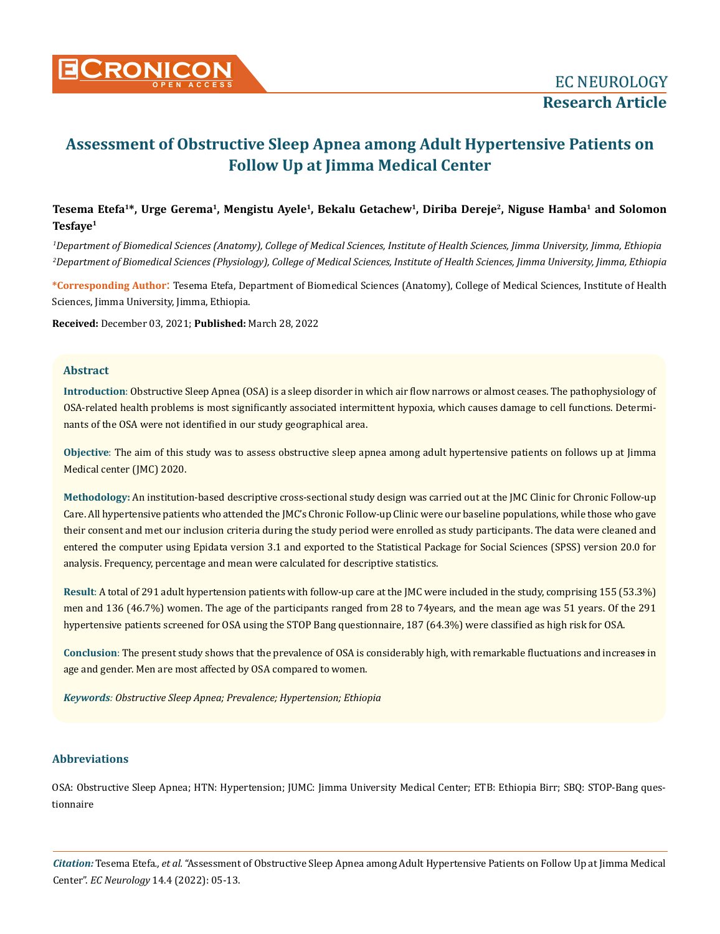

# **Assessment of Obstructive Sleep Apnea among Adult Hypertensive Patients on Follow Up at Jimma Medical Center**

# Tesema Etefa<sup>1\*</sup>, Urge Gerema<sup>1</sup>, Mengistu Ayele<sup>1</sup>, Bekalu Getachew<sup>1</sup>, Diriba Dereje<sup>2</sup>, Niguse Hamba<sup>1</sup> and Solomon **Tesfaye1**

*1 Department of Biomedical Sciences (Anatomy), College of Medical Sciences, Institute of Health Sciences, Jimma University, Jimma, Ethiopia 2 Department of Biomedical Sciences (Physiology), College of Medical Sciences, Institute of Health Sciences, Jimma University, Jimma, Ethiopia*

**\*Corresponding Author**: Tesema Etefa, Department of Biomedical Sciences (Anatomy), College of Medical Sciences, Institute of Health Sciences, Jimma University, Jimma, Ethiopia.

**Received:** December 03, 2021; **Published:** March 28, 2022

#### **Abstract**

**Introduction**: Obstructive Sleep Apnea (OSA) is a sleep disorder in which air flow narrows or almost ceases. The pathophysiology of OSA-related health problems is most significantly associated intermittent hypoxia, which causes damage to cell functions. Determinants of the OSA were not identified in our study geographical area.

**Objective**: The aim of this study was to assess obstructive sleep apnea among adult hypertensive patients on follows up at Jimma Medical center (JMC) 2020.

**Methodology:** An institution-based descriptive cross-sectional study design was carried out at the JMC Clinic for Chronic Follow-up Care. All hypertensive patients who attended the JMC's Chronic Follow-up Clinic were our baseline populations, while those who gave their consent and met our inclusion criteria during the study period were enrolled as study participants. The data were cleaned and entered the computer using Epidata version 3.1 and exported to the Statistical Package for Social Sciences (SPSS) version 20.0 for analysis. Frequency, percentage and mean were calculated for descriptive statistics.

**Result**: A total of 291 adult hypertension patients with follow-up care at the JMC were included in the study, comprising 155 (53.3%) men and 136 (46.7%) women. The age of the participants ranged from 28 to 74years, and the mean age was 51 years. Of the 291 hypertensive patients screened for OSA using the STOP Bang questionnaire, 187 (64.3%) were classified as high risk for OSA.

**Conclusion**: The present study shows that the prevalence of OSA is considerably high, with remarkable fluctuations and increases in age and gender. Men are most affected by OSA compared to women.

*Keywords: Obstructive Sleep Apnea; Prevalence; Hypertension; Ethiopia*

## **Abbreviations**

OSA: Obstructive Sleep Apnea; HTN: Hypertension; JUMC: Jimma University Medical Center; ETB: Ethiopia Birr; SBQ: STOP-Bang questionnaire

*Citation:* Tesema Etefa*., et al.* "Assessment of Obstructive Sleep Apnea among Adult Hypertensive Patients on Follow Up at Jimma Medical Center". *EC Neurology* 14.4 (2022): 05-13.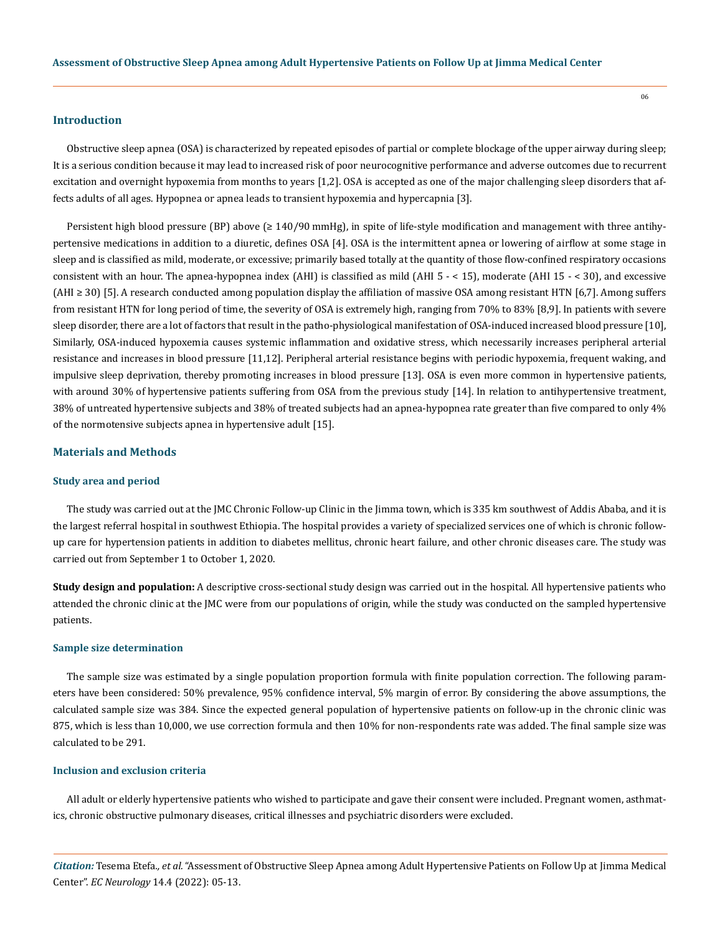#### **Introduction**

Obstructive sleep apnea (OSA) is characterized by repeated episodes of partial or complete blockage of the upper airway during sleep; It is a serious condition because it may lead to increased risk of poor neurocognitive performance and adverse outcomes due to recurrent excitation and overnight hypoxemia from months to years [1,2]. OSA is accepted as one of the major challenging sleep disorders that affects adults of all ages. Hypopnea or apnea leads to transient hypoxemia and hypercapnia [3].

Persistent high blood pressure (BP) above ( $\geq 140/90$  mmHg), in spite of life-style modification and management with three antihypertensive medications in addition to a diuretic, defines OSA [4]. OSA is the intermittent apnea or lowering of airflow at some stage in sleep and is classified as mild, moderate, or excessive; primarily based totally at the quantity of those flow-confined respiratory occasions consistent with an hour. The apnea-hypopnea index (AHI) is classified as mild (AHI 5 - < 15), moderate (AHI 15 - < 30), and excessive  $(AHI \geq 30)$  [5]. A research conducted among population display the affiliation of massive OSA among resistant HTN [6,7]. Among suffers from resistant HTN for long period of time, the severity of OSA is extremely high, ranging from 70% to 83% [8,9]. In patients with severe sleep disorder, there are a lot of factors that result in the patho-physiological manifestation of OSA-induced increased blood pressure [10], Similarly, OSA-induced hypoxemia causes systemic inflammation and oxidative stress, which necessarily increases peripheral arterial resistance and increases in blood pressure [11,12]. Peripheral arterial resistance begins with periodic hypoxemia, frequent waking, and impulsive sleep deprivation, thereby promoting increases in blood pressure [13]. OSA is even more common in hypertensive patients, with around 30% of hypertensive patients suffering from OSA from the previous study [14]. In relation to antihypertensive treatment, 38% of untreated hypertensive subjects and 38% of treated subjects had an apnea-hypopnea rate greater than five compared to only 4% of the normotensive subjects apnea in hypertensive adult [15].

# **Materials and Methods**

#### **Study area and period**

The study was carried out at the JMC Chronic Follow-up Clinic in the Jimma town, which is 335 km southwest of Addis Ababa, and it is the largest referral hospital in southwest Ethiopia. The hospital provides a variety of specialized services one of which is chronic followup care for hypertension patients in addition to diabetes mellitus, chronic heart failure, and other chronic diseases care. The study was carried out from September 1 to October 1, 2020.

**Study design and population:** A descriptive cross-sectional study design was carried out in the hospital. All hypertensive patients who attended the chronic clinic at the JMC were from our populations of origin, while the study was conducted on the sampled hypertensive patients.

#### **Sample size determination**

The sample size was estimated by a single population proportion formula with finite population correction. The following parameters have been considered: 50% prevalence, 95% confidence interval, 5% margin of error. By considering the above assumptions, the calculated sample size was 384. Since the expected general population of hypertensive patients on follow-up in the chronic clinic was 875, which is less than 10,000, we use correction formula and then 10% for non-respondents rate was added. The final sample size was calculated to be 291.

#### **Inclusion and exclusion criteria**

All adult or elderly hypertensive patients who wished to participate and gave their consent were included. Pregnant women, asthmatics, chronic obstructive pulmonary diseases, critical illnesses and psychiatric disorders were excluded.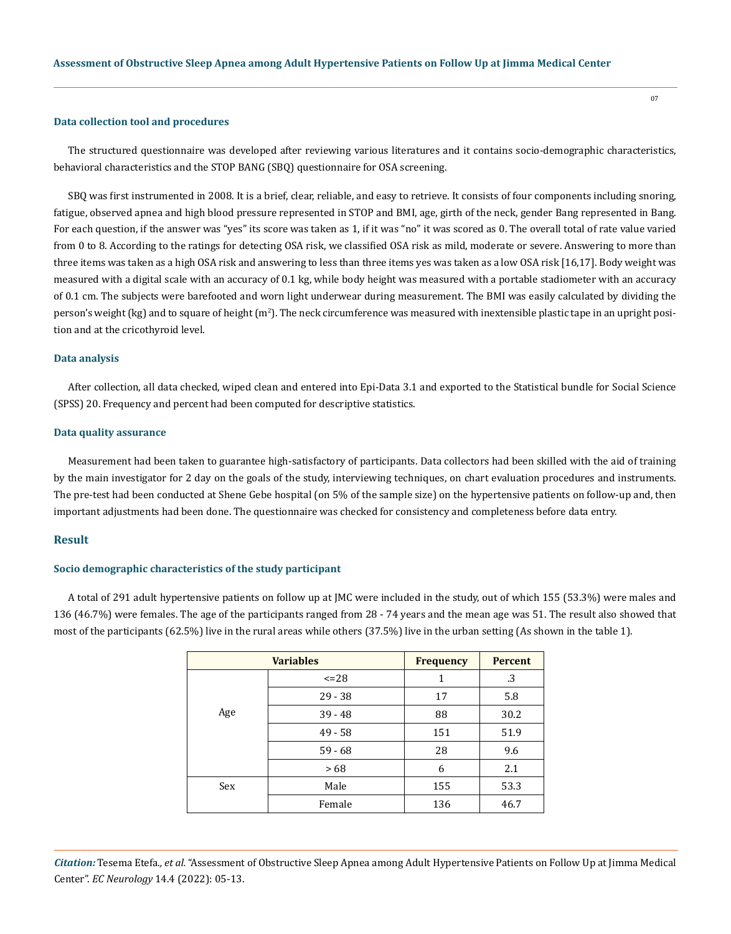#### **Data collection tool and procedures**

The structured questionnaire was developed after reviewing various literatures and it contains socio-demographic characteristics, behavioral characteristics and the STOP BANG (SBQ) questionnaire for OSA screening.

SBQ was first instrumented in 2008. It is a brief, clear, reliable, and easy to retrieve. It consists of four components including snoring, fatigue, observed apnea and high blood pressure represented in STOP and BMI, age, girth of the neck, gender Bang represented in Bang. For each question, if the answer was "yes" its score was taken as 1, if it was "no" it was scored as 0. The overall total of rate value varied from 0 to 8. According to the ratings for detecting OSA risk, we classified OSA risk as mild, moderate or severe. Answering to more than three items was taken as a high OSA risk and answering to less than three items yes was taken as a low OSA risk [16,17]. Body weight was measured with a digital scale with an accuracy of 0.1 kg, while body height was measured with a portable stadiometer with an accuracy of 0.1 cm. The subjects were barefooted and worn light underwear during measurement. The BMI was easily calculated by dividing the person's weight (kg) and to square of height (m²). The neck circumference was measured with inextensible plastic tape in an upright position and at the cricothyroid level.

#### **Data analysis**

After collection, all data checked, wiped clean and entered into Epi-Data 3.1 and exported to the Statistical bundle for Social Science (SPSS) 20. Frequency and percent had been computed for descriptive statistics.

#### **Data quality assurance**

Measurement had been taken to guarantee high-satisfactory of participants. Data collectors had been skilled with the aid of training by the main investigator for 2 day on the goals of the study, interviewing techniques, on chart evaluation procedures and instruments. The pre-test had been conducted at Shene Gebe hospital (on 5% of the sample size) on the hypertensive patients on follow-up and, then important adjustments had been done. The questionnaire was checked for consistency and completeness before data entry.

## **Result**

#### **Socio demographic characteristics of the study participant**

A total of 291 adult hypertensive patients on follow up at JMC were included in the study, out of which 155 (53.3%) were males and 136 (46.7%) were females. The age of the participants ranged from 28 - 74 years and the mean age was 51. The result also showed that most of the participants (62.5%) live in the rural areas while others (37.5%) live in the urban setting (As shown in the table 1).

| <b>Variables</b> |           | <b>Frequency</b> | <b>Percent</b> |
|------------------|-----------|------------------|----------------|
| Age              | $\leq$ 28 | 1                | .3             |
|                  | $29 - 38$ | 17               | 5.8            |
|                  | $39 - 48$ | 88               | 30.2           |
|                  | $49 - 58$ | 151              | 51.9           |
|                  | $59 - 68$ | 28               | 9.6            |
|                  | >68       | 6                | 2.1            |
| Sex              | Male      | 155              | 53.3           |
|                  | Female    | 136              | 46.7           |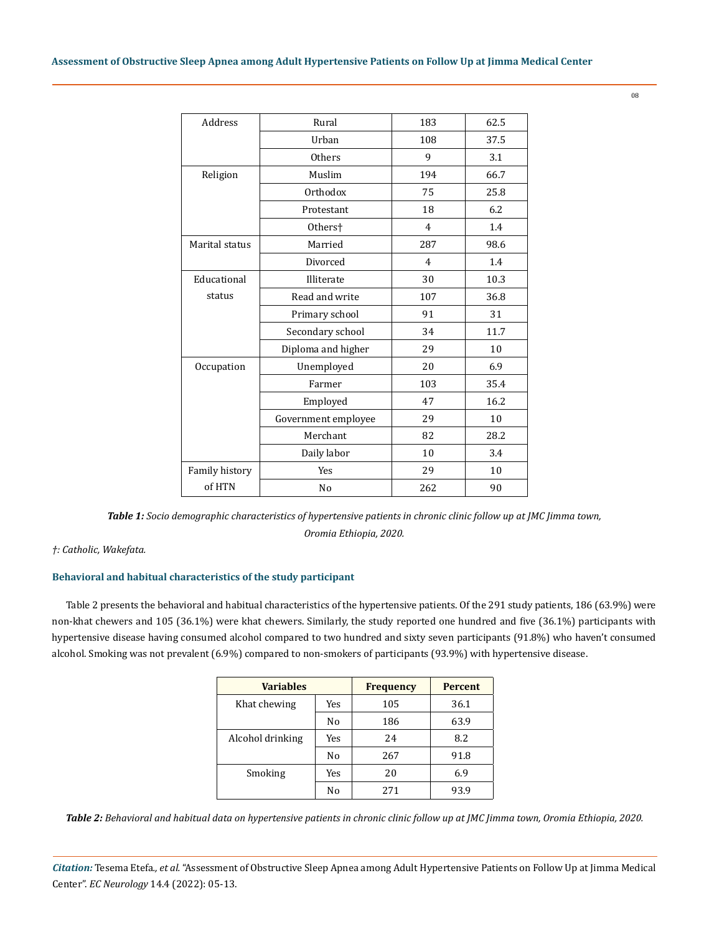| <b>Address</b> | Rural               | 183 | 62.5 |
|----------------|---------------------|-----|------|
|                | Urban               | 108 | 37.5 |
|                | <b>Others</b>       | 9   | 3.1  |
| Religion       | Muslim              | 194 | 66.7 |
|                | Orthodox            | 75  | 25.8 |
|                | Protestant          | 18  | 6.2  |
|                | Others <sup>+</sup> | 4   | 1.4  |
| Marital status | Married             | 287 | 98.6 |
|                | Divorced            | 4   | 1.4  |
| Educational    | Illiterate          | 30  | 10.3 |
| status         | Read and write      | 107 | 36.8 |
|                | Primary school      | 91  | 31   |
|                | Secondary school    | 34  | 11.7 |
|                | Diploma and higher  | 29  | 10   |
| Occupation     | Unemployed          | 20  | 6.9  |
|                | Farmer              | 103 | 35.4 |
|                | Employed            | 47  | 16.2 |
|                | Government employee | 29  | 10   |
|                | Merchant            | 82  | 28.2 |
|                | Daily labor         | 10  | 3.4  |
| Family history | Yes                 | 29  | 10   |
| of HTN         | N <sub>o</sub>      | 262 | 90   |

*Table 1: Socio demographic characteristics of hypertensive patients in chronic clinic follow up at JMC Jimma town, Oromia Ethiopia, 2020.*

*†: Catholic, Wakefata.*

# **Behavioral and habitual characteristics of the study participant**

Table 2 presents the behavioral and habitual characteristics of the hypertensive patients. Of the 291 study patients, 186 (63.9%) were non-khat chewers and 105 (36.1%) were khat chewers. Similarly, the study reported one hundred and five (36.1%) participants with hypertensive disease having consumed alcohol compared to two hundred and sixty seven participants (91.8%) who haven't consumed alcohol. Smoking was not prevalent (6.9%) compared to non-smokers of participants (93.9%) with hypertensive disease.

| <b>Variables</b> |     | <b>Frequency</b> | <b>Percent</b> |
|------------------|-----|------------------|----------------|
| Khat chewing     | Yes | 105              | 36.1           |
|                  | No  | 186              | 63.9           |
| Alcohol drinking | Yes | 24               | 8.2            |
|                  | No  | 267              | 91.8           |
| Smoking          | Yes | 20               | 6.9            |
|                  | No  | 271              | 93.9           |

*Table 2: Behavioral and habitual data on hypertensive patients in chronic clinic follow up at JMC Jimma town, Oromia Ethiopia, 2020.*

*Citation:* Tesema Etefa*., et al.* "Assessment of Obstructive Sleep Apnea among Adult Hypertensive Patients on Follow Up at Jimma Medical Center". *EC Neurology* 14.4 (2022): 05-13.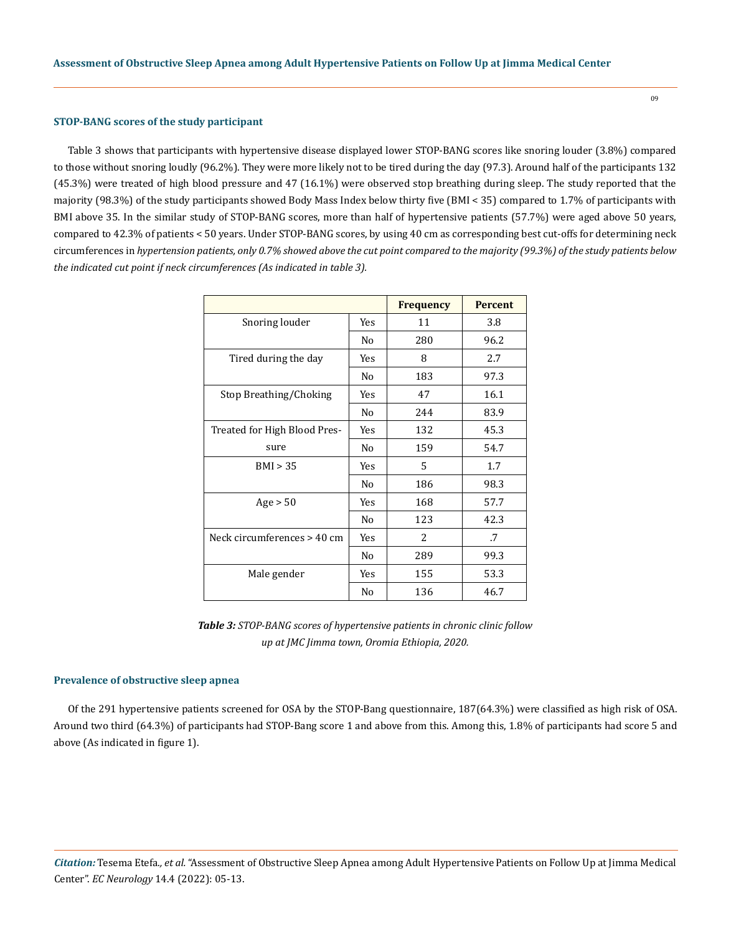#### **STOP-BANG scores of the study participant**

Table 3 shows that participants with hypertensive disease displayed lower STOP-BANG scores like snoring louder (3.8%) compared to those without snoring loudly (96.2%). They were more likely not to be tired during the day (97.3). Around half of the participants 132 (45.3%) were treated of high blood pressure and 47 (16.1%) were observed stop breathing during sleep. The study reported that the majority (98.3%) of the study participants showed Body Mass Index below thirty five (BMI < 35) compared to 1.7% of participants with BMI above 35. In the similar study of STOP-BANG scores, more than half of hypertensive patients (57.7%) were aged above 50 years, compared to 42.3% of patients < 50 years. Under STOP-BANG scores, by using 40 cm as corresponding best cut-offs for determining neck circumferences in *hypertension patients, only 0.7% showed above the cut point compared to the majority (99.3%) of the study patients below the indicated cut point if neck circumferences (As indicated in table 3).*

|                              |                | <b>Frequency</b> | <b>Percent</b> |
|------------------------------|----------------|------------------|----------------|
| Snoring louder               | Yes            | 11               | 3.8            |
|                              | No             | 280              | 96.2           |
| Tired during the day         | Yes            | 8                | 2.7            |
|                              | N <sub>0</sub> | 183              | 97.3           |
| Stop Breathing/Choking       | Yes            | 47               | 16.1           |
|                              | No             | 244              | 83.9           |
| Treated for High Blood Pres- | Yes            | 132              | 45.3           |
| sure                         | No             | 159              | 54.7           |
| BMI > 35                     | Yes            | 5                | 1.7            |
|                              | No             | 186              | 98.3           |
| Age > 50                     | Yes            | 168              | 57.7           |
|                              | No             | 123              | 42.3           |
| Neck circumferences > 40 cm  | Yes            | 2                | .7             |
|                              | No             | 289              | 99.3           |
| Male gender                  | Yes            | 155              | 53.3           |
|                              | No             | 136              | 46.7           |

*Table 3: STOP-BANG scores of hypertensive patients in chronic clinic follow up at JMC Jimma town, Oromia Ethiopia, 2020.*

#### **Prevalence of obstructive sleep apnea**

Of the 291 hypertensive patients screened for OSA by the STOP-Bang questionnaire, 187(64.3%) were classified as high risk of OSA. Around two third (64.3%) of participants had STOP-Bang score 1 and above from this. Among this, 1.8% of participants had score 5 and above (As indicated in figure 1).

*Citation:* Tesema Etefa*., et al.* "Assessment of Obstructive Sleep Apnea among Adult Hypertensive Patients on Follow Up at Jimma Medical Center". *EC Neurology* 14.4 (2022): 05-13.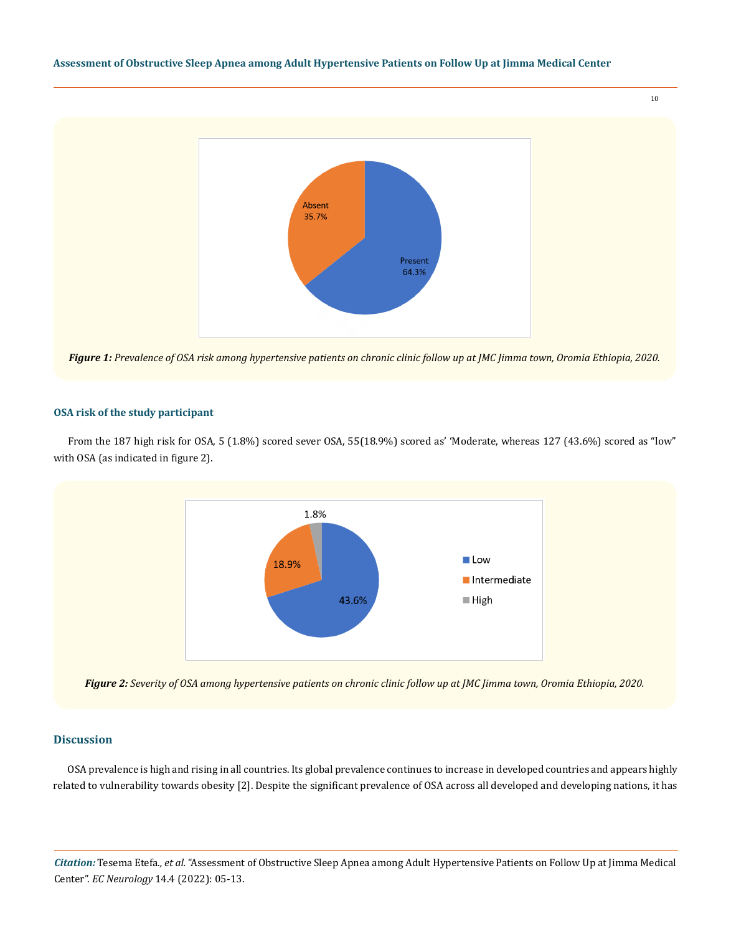## **Assessment of Obstructive Sleep Apnea among Adult Hypertensive Patients on Follow Up at Jimma Medical Center**



*Figure 1: Prevalence of OSA risk among hypertensive patients on chronic clinic follow up at JMC Jimma town, Oromia Ethiopia, 2020.*

## **OSA risk of the study participant**

From the 187 high risk for OSA, 5 (1.8%) scored sever OSA, 55(18.9%) scored as' 'Moderate, whereas 127 (43.6%) scored as "low" with OSA (as indicated in figure 2).



*Figure 2: Severity of OSA among hypertensive patients on chronic clinic follow up at JMC Jimma town, Oromia Ethiopia, 2020.*

# **Discussion**

OSA prevalence is high and rising in all countries. Its global prevalence continues to increase in developed countries and appears highly related to vulnerability towards obesity [2]. Despite the significant prevalence of OSA across all developed and developing nations, it has

*Citation:* Tesema Etefa*., et al.* "Assessment of Obstructive Sleep Apnea among Adult Hypertensive Patients on Follow Up at Jimma Medical Center". *EC Neurology* 14.4 (2022): 05-13.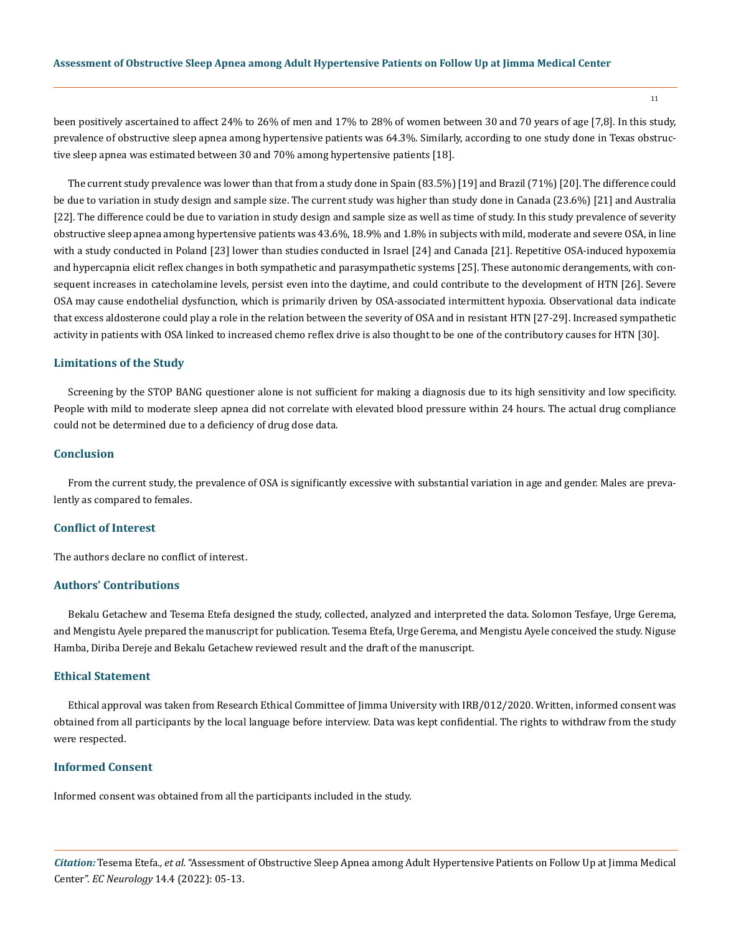been positively ascertained to affect 24% to 26% of men and 17% to 28% of women between 30 and 70 years of age [7,8]. In this study, prevalence of obstructive sleep apnea among hypertensive patients was 64.3%. Similarly, according to one study done in Texas obstructive sleep apnea was estimated between 30 and 70% among hypertensive patients [18].

The current study prevalence was lower than that from a study done in Spain (83.5%) [19] and Brazil (71%) [20]. The difference could be due to variation in study design and sample size. The current study was higher than study done in Canada (23.6%) [21] and Australia [22]. The difference could be due to variation in study design and sample size as well as time of study. In this study prevalence of severity obstructive sleep apnea among hypertensive patients was 43.6%, 18.9% and 1.8% in subjects with mild, moderate and severe OSA, in line with a study conducted in Poland [23] lower than studies conducted in Israel [24] and Canada [21]. Repetitive OSA-induced hypoxemia and hypercapnia elicit reflex changes in both sympathetic and parasympathetic systems [25]. These autonomic derangements, with consequent increases in catecholamine levels, persist even into the daytime, and could contribute to the development of HTN [26]. Severe OSA may cause endothelial dysfunction, which is primarily driven by OSA-associated intermittent hypoxia. Observational data indicate that excess aldosterone could play a role in the relation between the severity of OSA and in resistant HTN [27-29]. Increased sympathetic activity in patients with OSA linked to increased chemo reflex drive is also thought to be one of the contributory causes for HTN [30].

#### **Limitations of the Study**

Screening by the STOP BANG questioner alone is not sufficient for making a diagnosis due to its high sensitivity and low specificity. People with mild to moderate sleep apnea did not correlate with elevated blood pressure within 24 hours. The actual drug compliance could not be determined due to a deficiency of drug dose data.

## **Conclusion**

From the current study, the prevalence of OSA is significantly excessive with substantial variation in age and gender. Males are prevalently as compared to females.

# **Conflict of Interest**

The authors declare no conflict of interest.

#### **Authors' Contributions**

Bekalu Getachew and Tesema Etefa designed the study, collected, analyzed and interpreted the data. Solomon Tesfaye, Urge Gerema, and Mengistu Ayele prepared the manuscript for publication. Tesema Etefa, Urge Gerema, and Mengistu Ayele conceived the study. Niguse Hamba, Diriba Dereje and Bekalu Getachew reviewed result and the draft of the manuscript.

# **Ethical Statement**

Ethical approval was taken from Research Ethical Committee of Jimma University with IRB/012/2020. Written, informed consent was obtained from all participants by the local language before interview. Data was kept confidential. The rights to withdraw from the study were respected.

## **Informed Consent**

Informed consent was obtained from all the participants included in the study.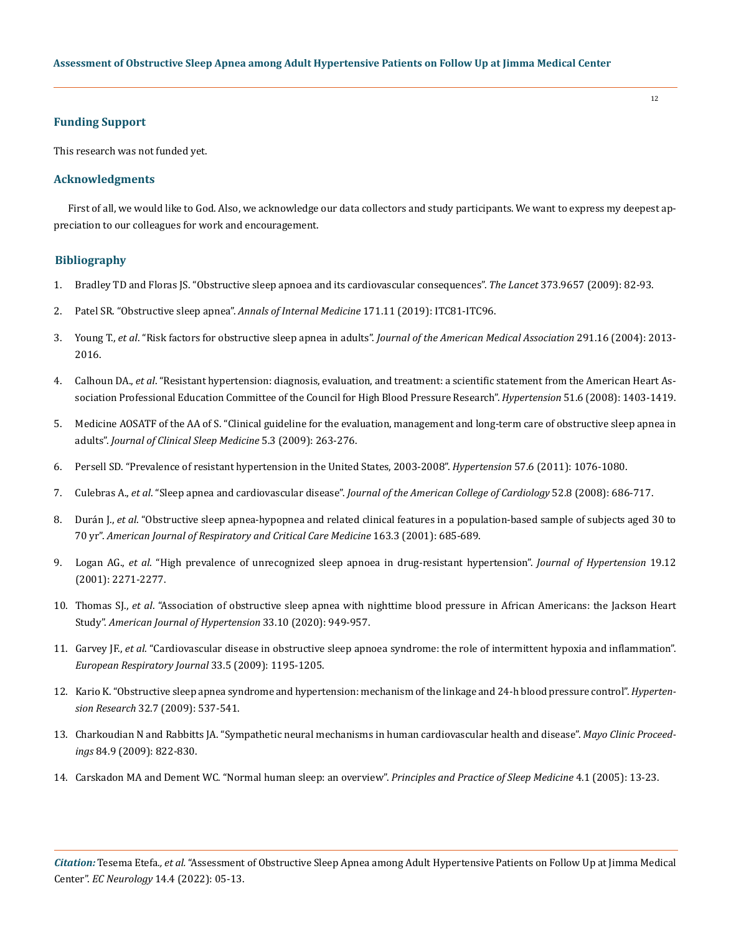## **Funding Support**

This research was not funded yet.

## **Acknowledgments**

First of all, we would like to God. Also, we acknowledge our data collectors and study participants. We want to express my deepest appreciation to our colleagues for work and encouragement.

# **Bibliography**

- 1. [Bradley TD and Floras JS. "Obstructive sleep apnoea and its cardiovascular consequences".](https://pubmed.ncbi.nlm.nih.gov/19101028/) *The Lancet* 373.9657 (2009): 82-93.
- 2. [Patel SR. "Obstructive sleep apnea".](https://pubmed.ncbi.nlm.nih.gov/31791057/) *Annals of Internal Medicine* 171.11 (2019): ITC81-ITC96.
- 3. Young T., *et al*[. "Risk factors for obstructive sleep apnea in adults".](https://pubmed.ncbi.nlm.nih.gov/15113821/) *Journal of the American Medical Association* 291.16 (2004): 2013- [2016.](https://pubmed.ncbi.nlm.nih.gov/15113821/)
- 4. Calhoun DA., *et al*[. "Resistant hypertension: diagnosis, evaluation, and treatment: a scientific statement from the American Heart As](https://pubmed.ncbi.nlm.nih.gov/18391085/)[sociation Professional Education Committee of the Council for High Blood Pressure Research".](https://pubmed.ncbi.nlm.nih.gov/18391085/) *Hypertension* 51.6 (2008): 1403-1419.
- 5. [Medicine AOSATF of the AA of S. "Clinical guideline for the evaluation, management and long-term care of obstructive sleep apnea in](https://pubmed.ncbi.nlm.nih.gov/19960649/) adults". *Journal of Clinical Sleep Medicine* 5.3 (2009): 263-276.
- 6. [Persell SD. "Prevalence of resistant hypertension in the United States, 2003-2008".](https://pubmed.ncbi.nlm.nih.gov/21502568/) *Hypertension* 57.6 (2011): 1076-1080.
- 7. Culebras A., *et al*. "Sleep apnea and cardiovascular disease". *[Journal of the American College of Cardiology](https://pubmed.ncbi.nlm.nih.gov/18702977/)* 52.8 (2008): 686-717.
- 8. Durán J., *et al*[. "Obstructive sleep apnea-hypopnea and related clinical features in a population-based sample of subjects aged 30 to](https://pubmed.ncbi.nlm.nih.gov/11254524/) 70 yr". *[American Journal of Respiratory and Critical Care Medicine](https://pubmed.ncbi.nlm.nih.gov/11254524/)* 163.3 (2001): 685-689.
- 9. Logan AG., *et al*[. "High prevalence of unrecognized sleep apnoea in drug-resistant hypertension".](https://pubmed.ncbi.nlm.nih.gov/11725173/) *Journal of Hypertension* 19.12 [\(2001\): 2271-2277.](https://pubmed.ncbi.nlm.nih.gov/11725173/)
- 10. Thomas SJ., *et al*[. "Association of obstructive sleep apnea with nighttime blood pressure in African Americans: the Jackson Heart](https://pubmed.ncbi.nlm.nih.gov/32492711/) Study". *[American Journal of Hypertension](https://pubmed.ncbi.nlm.nih.gov/32492711/)* 33.10 (2020): 949-957.
- 11. Garvey JF., *et al*[. "Cardiovascular disease in obstructive sleep apnoea syndrome: the role of intermittent hypoxia and inflammation".](https://pubmed.ncbi.nlm.nih.gov/19407053/) *[European Respiratory Journal](https://pubmed.ncbi.nlm.nih.gov/19407053/)* 33.5 (2009): 1195-1205.
- 12. [Kario K. "Obstructive sleep apnea syndrome and hypertension: mechanism of the linkage and 24-h blood pressure control".](https://pubmed.ncbi.nlm.nih.gov/19461649/) *Hypertension Research* [32.7 \(2009\): 537-541.](https://pubmed.ncbi.nlm.nih.gov/19461649/)
- 13. [Charkoudian N and Rabbitts JA. "Sympathetic neural mechanisms in human cardiovascular health and disease".](https://pubmed.ncbi.nlm.nih.gov/19720780/) *Mayo Clinic Proceedings* [84.9 \(2009\): 822-830.](https://pubmed.ncbi.nlm.nih.gov/19720780/)
- 14. Carskadon MA and Dement WC. "Normal human sleep: an overview". *Principles and Practice of Sleep Medicine* 4.1 (2005): 13-23.